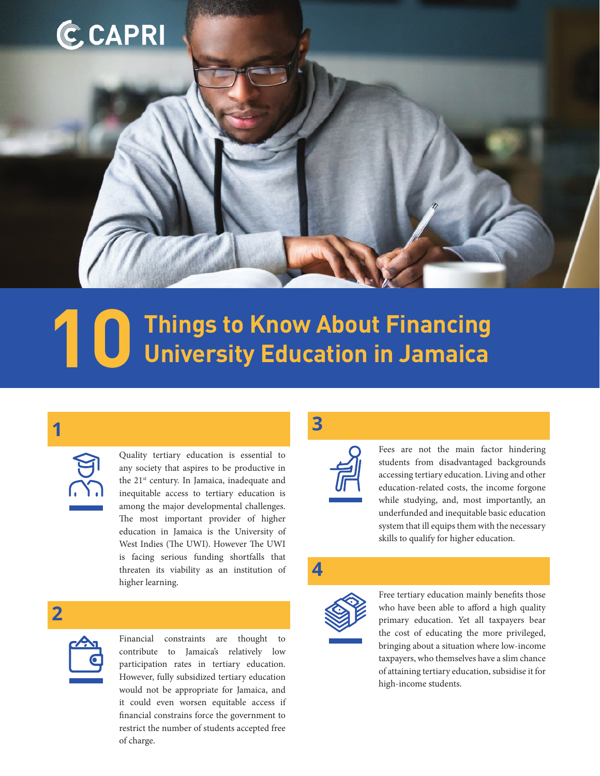# **CCAPRI**

# **Things to Know About Financing 10 University Education in Jamaica**

# **1**

| ١, |  |  |
|----|--|--|
| ù. |  |  |

Quality tertiary education is essential to any society that aspires to be productive in the 21<sup>st</sup> century. In Jamaica, inadequate and inequitable access to tertiary education is among the major developmental challenges. The most important provider of higher education in Jamaica is the University of West Indies (The UWI). However The UWI is facing serious funding shortfalls that threaten its viability as an institution of higher learning.

## **2**



Financial constraints are thought to contribute to Jamaica's relatively low participation rates in tertiary education. However, fully subsidized tertiary education would not be appropriate for Jamaica, and it could even worsen equitable access if financial constrains force the government to restrict the number of students accepted free of charge.

## **3**



Fees are not the main factor hindering students from disadvantaged backgrounds accessing tertiary education. Living and other education-related costs, the income forgone while studying, and, most importantly, an underfunded and inequitable basic education system that ill equips them with the necessary skills to qualify for higher education.

#### **4**



Free tertiary education mainly benefits those who have been able to afford a high quality primary education. Yet all taxpayers bear the cost of educating the more privileged, bringing about a situation where low-income taxpayers, who themselves have a slim chance of attaining tertiary education, subsidise it for high-income students.